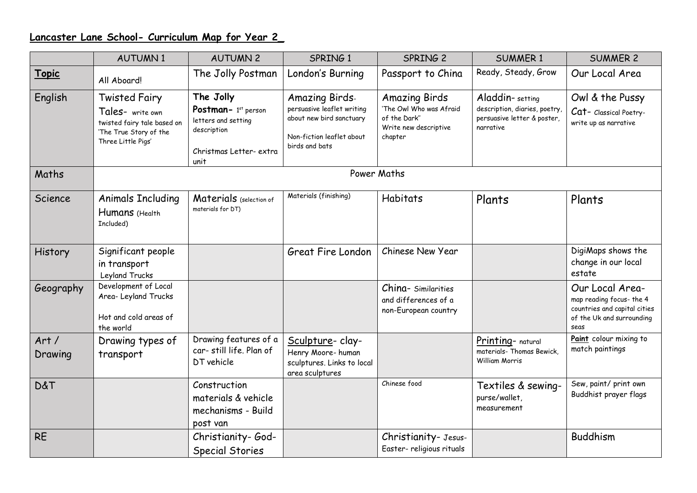## **Lancaster Lane School- Curriculum Map for Year 2\_**

|                 | <b>AUTUMN1</b>                                                                                                          | <b>AUTUMN 2</b>                                                                                           | SPRING 1                                                                                                                       | SPRING 2                                                                                            | <b>SUMMER 1</b>                                                                              | <b>SUMMER 2</b>                                                                                                  |  |  |  |  |
|-----------------|-------------------------------------------------------------------------------------------------------------------------|-----------------------------------------------------------------------------------------------------------|--------------------------------------------------------------------------------------------------------------------------------|-----------------------------------------------------------------------------------------------------|----------------------------------------------------------------------------------------------|------------------------------------------------------------------------------------------------------------------|--|--|--|--|
| <b>Topic</b>    | All Aboard!                                                                                                             | The Jolly Postman                                                                                         | London's Burning                                                                                                               | Passport to China                                                                                   | Ready, Steady, Grow                                                                          | Our Local Area                                                                                                   |  |  |  |  |
| English         | <b>Twisted Fairy</b><br>Tales- write own<br>twisted fairy tale based on<br>'The True Story of the<br>Three Little Pigs' | The Jolly<br>Postman- 1st person<br>letters and setting<br>description<br>Christmas Letter- extra<br>unit | <b>Amazing Birds-</b><br>persuasive leaflet writing<br>about new bird sanctuary<br>Non-fiction leaflet about<br>birds and bats | <b>Amazing Birds</b><br>'The Owl Who was Afraid<br>of the Dark"<br>Write new descriptive<br>chapter | Aladdin-setting<br>description, diaries, poetry,<br>persuasive letter & poster,<br>narrative | Owl & the Pussy<br>Cat- Classical Poetry-<br>write up as narrative                                               |  |  |  |  |
| Maths           | Power Maths                                                                                                             |                                                                                                           |                                                                                                                                |                                                                                                     |                                                                                              |                                                                                                                  |  |  |  |  |
| Science         | <b>Animals Including</b><br>Humans (Health<br>Included)                                                                 | Materials (selection of<br>materials for DT)                                                              | Materials (finishing)                                                                                                          | Habitats                                                                                            | Plants                                                                                       | Plants                                                                                                           |  |  |  |  |
| History         | Significant people<br>in transport<br>Leyland Trucks                                                                    |                                                                                                           | Great Fire London                                                                                                              | Chinese New Year                                                                                    |                                                                                              | DigiMaps shows the<br>change in our local<br>estate                                                              |  |  |  |  |
| Geography       | Development of Local<br>Area-Leyland Trucks<br>Hot and cold areas of<br>the world                                       |                                                                                                           |                                                                                                                                | China- Similarities<br>and differences of a<br>non-European country                                 |                                                                                              | Our Local Area-<br>map reading focus- the 4<br>countries and capital cities<br>of the Uk and surrounding<br>seas |  |  |  |  |
| Art/<br>Drawing | Drawing types of<br>transport                                                                                           | Drawing features of a<br>car-still life. Plan of<br>DT vehicle                                            | Sculpture- clay-<br>Henry Moore-human<br>sculptures. Links to local<br>area sculptures                                         |                                                                                                     | Printing- natural<br>materials- Thomas Bewick,<br>William Morris                             | Paint colour mixing to<br>match paintings                                                                        |  |  |  |  |
| <b>D&amp;T</b>  |                                                                                                                         | Construction<br>materials & vehicle<br>mechanisms - Build<br>post van                                     |                                                                                                                                | Chinese food                                                                                        | Textiles & sewing-<br>purse/wallet,<br>measurement                                           | Sew, paint/ print own<br>Buddhist prayer flags                                                                   |  |  |  |  |
| <b>RE</b>       |                                                                                                                         | Christianity-God-<br><b>Special Stories</b>                                                               |                                                                                                                                | Christianity- Jesus-<br>Easter- religious rituals                                                   |                                                                                              | <b>Buddhism</b>                                                                                                  |  |  |  |  |